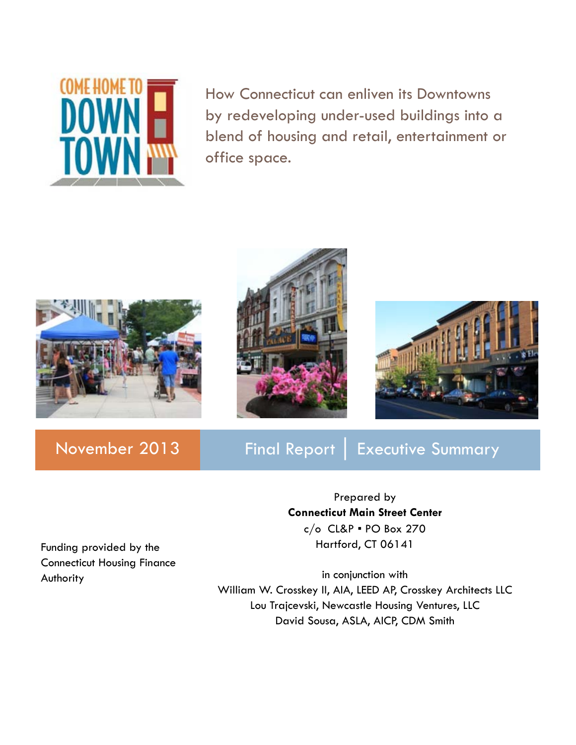

How Connecticut can enliven its Downtowns by redeveloping under-used buildings into a blend of housing and retail, entertainment or office space.







### November 2013 | Final Report | Executive Summary

Prepared by **Connecticut Main Street Center** c/o CL&P ▪ PO Box 270 Hartford, CT 06141

Funding provided by the Connecticut Housing Finance Authority

in conjunction with William W. Crosskey II, AIA, LEED AP, Crosskey Architects LLC Lou Trajcevski, Newcastle Housing Ventures, LLC David Sousa, ASLA, AICP, CDM Smith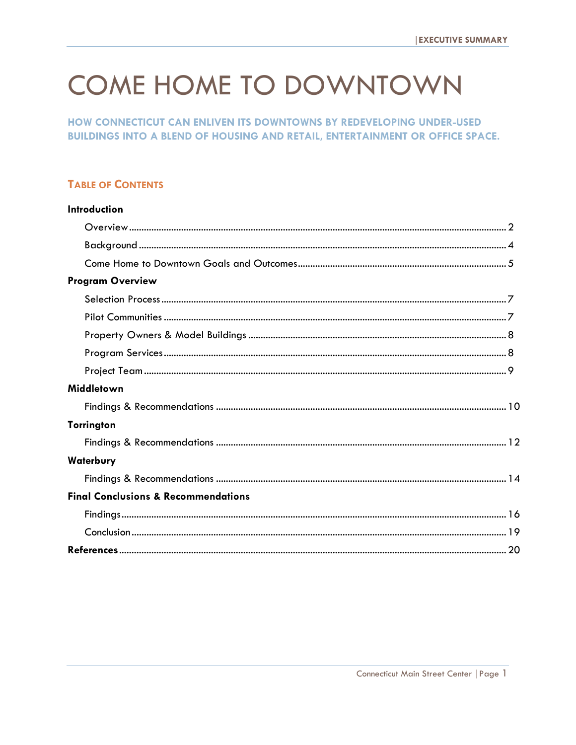# **COME HOME TO DOWNTOWN**

HOW CONNECTICUT CAN ENLIVEN ITS DOWNTOWNS BY REDEVELOPING UNDER-USED **BUILDINGS INTO A BLEND OF HOUSING AND RETAIL, ENTERTAINMENT OR OFFICE SPACE.** 

### **TABLE OF CONTENTS**

| <b>Introduction</b>                            |
|------------------------------------------------|
|                                                |
|                                                |
|                                                |
| <b>Program Overview</b>                        |
|                                                |
|                                                |
|                                                |
|                                                |
|                                                |
| Middletown                                     |
|                                                |
| <b>Torrington</b>                              |
|                                                |
| <b>Waterbury</b>                               |
|                                                |
| <b>Final Conclusions &amp; Recommendations</b> |
|                                                |
|                                                |
|                                                |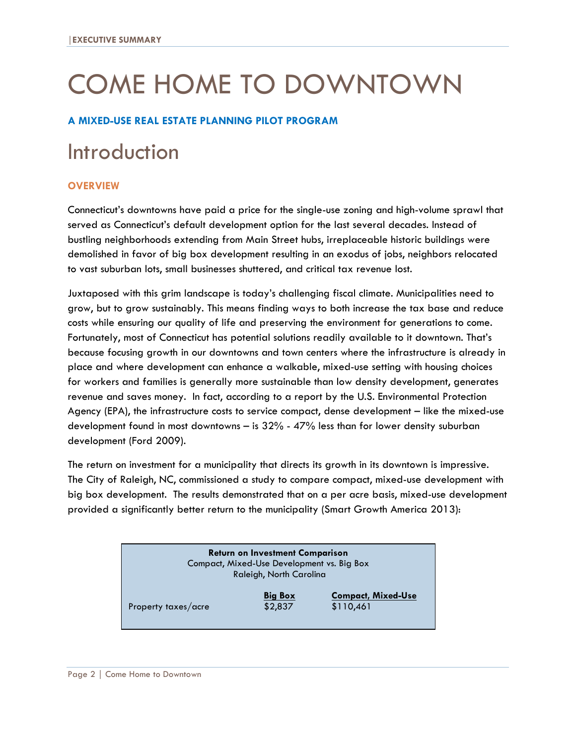# COME HOME TO DOWNTOWN

#### **A MIXED-USE REAL ESTATE PLANNING PILOT PROGRAM**

# Introduction

#### **OVERVIEW**

Connecticut's downtowns have paid a price for the single-use zoning and high-volume sprawl that served as Connecticut's default development option for the last several decades. Instead of bustling neighborhoods extending from Main Street hubs, irreplaceable historic buildings were demolished in favor of big box development resulting in an exodus of jobs, neighbors relocated to vast suburban lots, small businesses shuttered, and critical tax revenue lost.

Juxtaposed with this grim landscape is today's challenging fiscal climate. Municipalities need to grow, but to grow sustainably. This means finding ways to both increase the tax base and reduce costs while ensuring our quality of life and preserving the environment for generations to come. Fortunately, most of Connecticut has potential solutions readily available to it downtown. That's because focusing growth in our downtowns and town centers where the infrastructure is already in place and where development can enhance a walkable, mixed-use setting with housing choices for workers and families is generally more sustainable than low density development, generates revenue and saves money. In fact, according to a report by the U.S. Environmental Protection Agency (EPA), the infrastructure costs to service compact, dense development – like the mixed-use development found in most downtowns – is 32% - 47% less than for lower density suburban development (Ford 2009).

The return on investment for a municipality that directs its growth in its downtown is impressive. The City of Raleigh, NC, commissioned a study to compare compact, mixed-use development with big box development. The results demonstrated that on a per acre basis, mixed-use development provided a significantly better return to the municipality (Smart Growth America 2013):

| <b>Return on Investment Comparison</b><br>Compact, Mixed-Use Development vs. Big Box<br>Raleigh, North Carolina |                           |                                        |  |
|-----------------------------------------------------------------------------------------------------------------|---------------------------|----------------------------------------|--|
| Property taxes/acre                                                                                             | <b>Big Box</b><br>\$2,837 | <b>Compact, Mixed-Use</b><br>\$110,461 |  |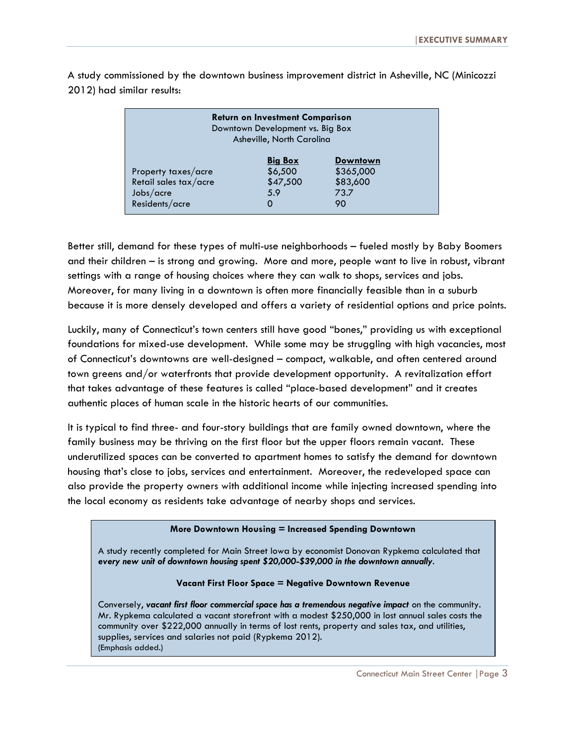| <b>Return on Investment Comparison</b><br>Downtown Development vs. Big Box<br>Asheville, North Carolina |                |                 |  |  |
|---------------------------------------------------------------------------------------------------------|----------------|-----------------|--|--|
|                                                                                                         | <b>Big Box</b> | <b>Downtown</b> |  |  |
| Property taxes/acre                                                                                     | \$6,500        | \$365,000       |  |  |
| Retail sales tax/acre                                                                                   | \$47,500       | \$83,600        |  |  |
| Jobs/acre                                                                                               | 5.9            | 73.7            |  |  |
| Residents/acre                                                                                          | O              | 90              |  |  |

A study commissioned by the downtown business improvement district in Asheville, NC (Minicozzi 2012) had similar results:

Better still, demand for these types of multi-use neighborhoods – fueled mostly by Baby Boomers and their children – is strong and growing. More and more, people want to live in robust, vibrant settings with a range of housing choices where they can walk to shops, services and jobs. Moreover, for many living in a downtown is often more financially feasible than in a suburb because it is more densely developed and offers a variety of residential options and price points.

Luckily, many of Connecticut's town centers still have good "bones," providing us with exceptional foundations for mixed-use development. While some may be struggling with high vacancies, most of Connecticut's downtowns are well-designed – compact, walkable, and often centered around town greens and/or waterfronts that provide development opportunity. A revitalization effort that takes advantage of these features is called "place-based development" and it creates authentic places of human scale in the historic hearts of our communities.

It is typical to find three- and four-story buildings that are family owned downtown, where the family business may be thriving on the first floor but the upper floors remain vacant. These underutilized spaces can be converted to apartment homes to satisfy the demand for downtown housing that's close to jobs, services and entertainment. Moreover, the redeveloped space can also provide the property owners with additional income while injecting increased spending into the local economy as residents take advantage of nearby shops and services.

#### **More Downtown Housing = Increased Spending Downtown**

A study recently completed for Main Street Iowa by economist Donovan Rypkema calculated that *every new unit of downtown housing spent \$20,000-\$39,000 in the downtown annually*.

#### **Vacant First Floor Space = Negative Downtown Revenue**

Conversely, *vacant first floor commercial space has a tremendous negative impact* on the community. Mr. Rypkema calculated a vacant storefront with a modest \$250,000 in lost annual sales costs the community over \$222,000 annually in terms of lost rents, property and sales tax, and utilities, supplies, services and salaries not paid (Rypkema 2012). (Emphasis added.)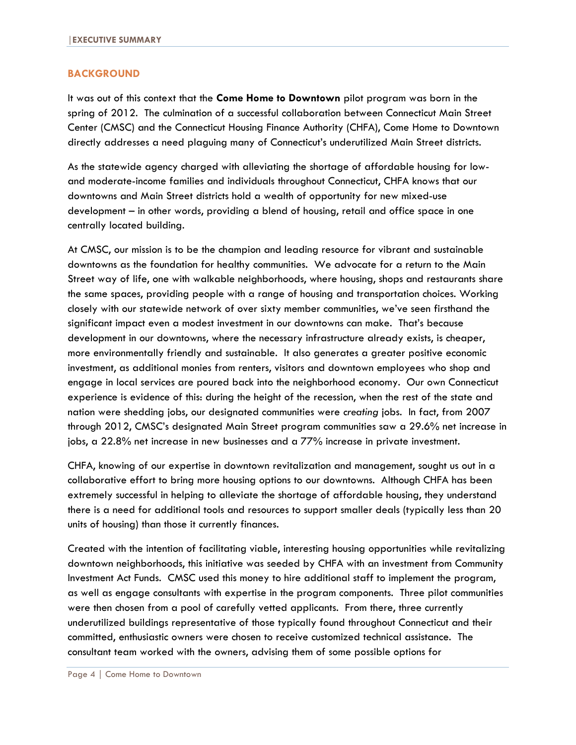#### **BACKGROUND**

It was out of this context that the **Come Home to Downtown** pilot program was born in the spring of 2012. The culmination of a successful collaboration between Connecticut Main Street Center (CMSC) and the Connecticut Housing Finance Authority (CHFA), Come Home to Downtown directly addresses a need plaguing many of Connecticut's underutilized Main Street districts.

As the statewide agency charged with alleviating the shortage of affordable housing for lowand moderate-income families and individuals throughout Connecticut, CHFA knows that our downtowns and Main Street districts hold a wealth of opportunity for new mixed-use development – in other words, providing a blend of housing, retail and office space in one centrally located building.

At CMSC, our mission is to be the champion and leading resource for vibrant and sustainable downtowns as the foundation for healthy communities. We advocate for a return to the Main Street way of life, one with walkable neighborhoods, where housing, shops and restaurants share the same spaces, providing people with a range of housing and transportation choices. Working closely with our statewide network of over sixty member communities, we've seen firsthand the significant impact even a modest investment in our downtowns can make. That's because development in our downtowns, where the necessary infrastructure already exists, is cheaper, more environmentally friendly and sustainable. It also generates a greater positive economic investment, as additional monies from renters, visitors and downtown employees who shop and engage in local services are poured back into the neighborhood economy. Our own Connecticut experience is evidence of this: during the height of the recession, when the rest of the state and nation were shedding jobs, our designated communities were *creating* jobs. In fact, from 2007 through 2012, CMSC's designated Main Street program communities saw a 29.6% net increase in jobs, a 22.8% net increase in new businesses and a 77% increase in private investment.

CHFA, knowing of our expertise in downtown revitalization and management, sought us out in a collaborative effort to bring more housing options to our downtowns. Although CHFA has been extremely successful in helping to alleviate the shortage of affordable housing, they understand there is a need for additional tools and resources to support smaller deals (typically less than 20 units of housing) than those it currently finances.

Created with the intention of facilitating viable, interesting housing opportunities while revitalizing downtown neighborhoods, this initiative was seeded by CHFA with an investment from Community Investment Act Funds. CMSC used this money to hire additional staff to implement the program, as well as engage consultants with expertise in the program components. Three pilot communities were then chosen from a pool of carefully vetted applicants. From there, three currently underutilized buildings representative of those typically found throughout Connecticut and their committed, enthusiastic owners were chosen to receive customized technical assistance. The consultant team worked with the owners, advising them of some possible options for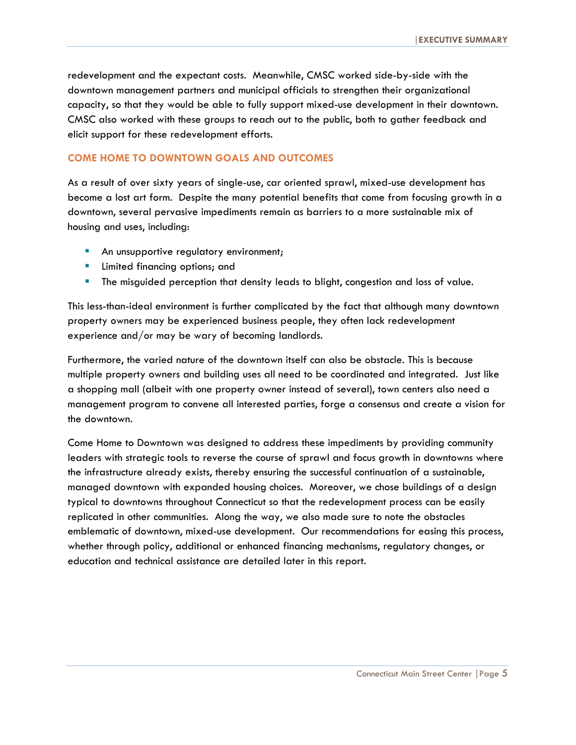redevelopment and the expectant costs. Meanwhile, CMSC worked side-by-side with the downtown management partners and municipal officials to strengthen their organizational capacity, so that they would be able to fully support mixed-use development in their downtown. CMSC also worked with these groups to reach out to the public, both to gather feedback and elicit support for these redevelopment efforts.

#### **COME HOME TO DOWNTOWN GOALS AND OUTCOMES**

As a result of over sixty years of single-use, car oriented sprawl, mixed-use development has become a lost art form. Despite the many potential benefits that come from focusing growth in a downtown, several pervasive impediments remain as barriers to a more sustainable mix of housing and uses, including:

- An unsupportive regulatory environment;
- **Limited financing options; and**
- **The misquided perception that density leads to blight, congestion and loss of value.**

This less-than-ideal environment is further complicated by the fact that although many downtown property owners may be experienced business people, they often lack redevelopment experience and/or may be wary of becoming landlords.

Furthermore, the varied nature of the downtown itself can also be obstacle. This is because multiple property owners and building uses all need to be coordinated and integrated. Just like a shopping mall (albeit with one property owner instead of several), town centers also need a management program to convene all interested parties, forge a consensus and create a vision for the downtown.

Come Home to Downtown was designed to address these impediments by providing community leaders with strategic tools to reverse the course of sprawl and focus growth in downtowns where the infrastructure already exists, thereby ensuring the successful continuation of a sustainable, managed downtown with expanded housing choices. Moreover, we chose buildings of a design typical to downtowns throughout Connecticut so that the redevelopment process can be easily replicated in other communities. Along the way, we also made sure to note the obstacles emblematic of downtown, mixed-use development. Our recommendations for easing this process, whether through policy, additional or enhanced financing mechanisms, regulatory changes, or education and technical assistance are detailed later in this report.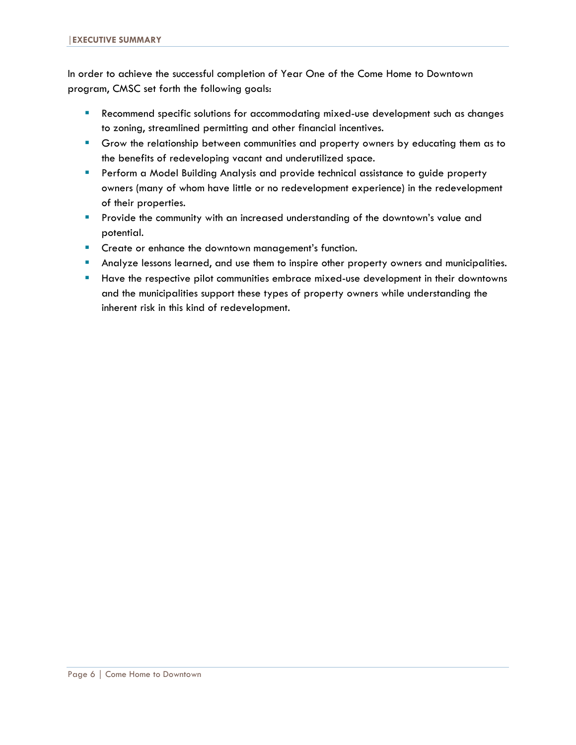In order to achieve the successful completion of Year One of the Come Home to Downtown program, CMSC set forth the following goals:

- Recommend specific solutions for accommodating mixed-use development such as changes to zoning, streamlined permitting and other financial incentives.
- Grow the relationship between communities and property owners by educating them as to the benefits of redeveloping vacant and underutilized space.
- **Perform a Model Building Analysis and provide technical assistance to guide property** owners (many of whom have little or no redevelopment experience) in the redevelopment of their properties.
- **Provide the community with an increased understanding of the downtown's value and** potential.
- **Create or enhance the downtown management's function.**
- **Analyze lessons learned, and use them to inspire other property owners and municipalities.**
- **Have the respective pilot communities embrace mixed-use development in their downtowns** and the municipalities support these types of property owners while understanding the inherent risk in this kind of redevelopment.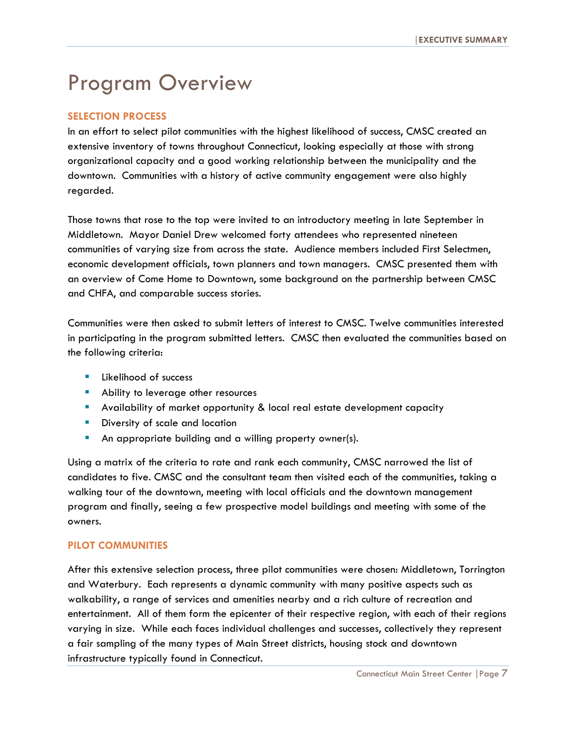# Program Overview

#### **SELECTION PROCESS**

In an effort to select pilot communities with the highest likelihood of success, CMSC created an extensive inventory of towns throughout Connecticut, looking especially at those with strong organizational capacity and a good working relationship between the municipality and the downtown. Communities with a history of active community engagement were also highly regarded.

Those towns that rose to the top were invited to an introductory meeting in late September in Middletown. Mayor Daniel Drew welcomed forty attendees who represented nineteen communities of varying size from across the state. Audience members included First Selectmen, economic development officials, town planners and town managers. CMSC presented them with an overview of Come Home to Downtown, some background on the partnership between CMSC and CHFA, and comparable success stories.

Communities were then asked to submit letters of interest to CMSC. Twelve communities interested in participating in the program submitted letters. CMSC then evaluated the communities based on the following criteria:

- **Likelihood of success**
- **Ability to leverage other resources**
- Availability of market opportunity & local real estate development capacity
- **Diversity of scale and location**
- **An appropriate building and a willing property owner(s).**

Using a matrix of the criteria to rate and rank each community, CMSC narrowed the list of candidates to five. CMSC and the consultant team then visited each of the communities, taking a walking tour of the downtown, meeting with local officials and the downtown management program and finally, seeing a few prospective model buildings and meeting with some of the owners.

#### **PILOT COMMUNITIES**

After this extensive selection process, three pilot communities were chosen: Middletown, Torrington and Waterbury. Each represents a dynamic community with many positive aspects such as walkability, a range of services and amenities nearby and a rich culture of recreation and entertainment. All of them form the epicenter of their respective region, with each of their regions varying in size. While each faces individual challenges and successes, collectively they represent a fair sampling of the many types of Main Street districts, housing stock and downtown infrastructure typically found in Connecticut.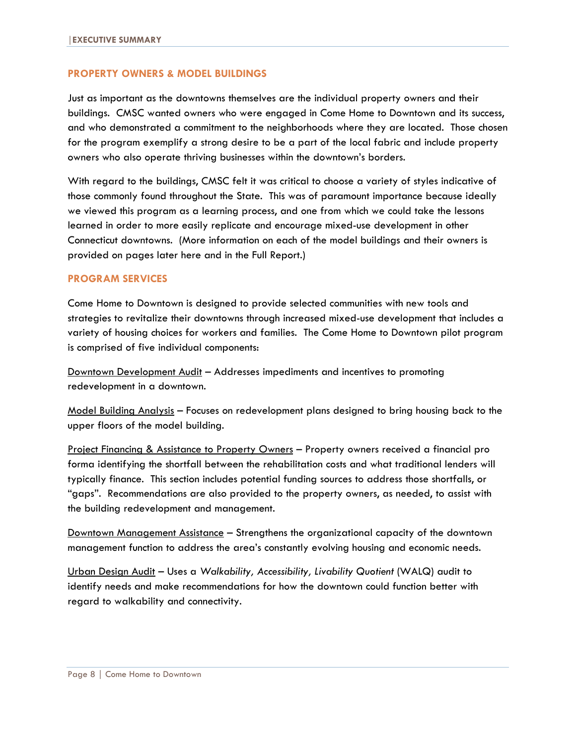#### **PROPERTY OWNERS & MODEL BUILDINGS**

Just as important as the downtowns themselves are the individual property owners and their buildings. CMSC wanted owners who were engaged in Come Home to Downtown and its success, and who demonstrated a commitment to the neighborhoods where they are located. Those chosen for the program exemplify a strong desire to be a part of the local fabric and include property owners who also operate thriving businesses within the downtown's borders.

With regard to the buildings, CMSC felt it was critical to choose a variety of styles indicative of those commonly found throughout the State. This was of paramount importance because ideally we viewed this program as a learning process, and one from which we could take the lessons learned in order to more easily replicate and encourage mixed-use development in other Connecticut downtowns. (More information on each of the model buildings and their owners is provided on pages later here and in the Full Report.)

#### **PROGRAM SERVICES**

Come Home to Downtown is designed to provide selected communities with new tools and strategies to revitalize their downtowns through increased mixed-use development that includes a variety of housing choices for workers and families. The Come Home to Downtown pilot program is comprised of five individual components:

Downtown Development Audit - Addresses impediments and incentives to promoting redevelopment in a downtown.

Model Building Analysis – Focuses on redevelopment plans designed to bring housing back to the upper floors of the model building.

Project Financing & Assistance to Property Owners - Property owners received a financial pro forma identifying the shortfall between the rehabilitation costs and what traditional lenders will typically finance. This section includes potential funding sources to address those shortfalls, or "gaps". Recommendations are also provided to the property owners, as needed, to assist with the building redevelopment and management.

Downtown Management Assistance – Strengthens the organizational capacity of the downtown management function to address the area's constantly evolving housing and economic needs.

Urban Design Audit – Uses a *Walkability, Accessibility, Livability Quotient* (WALQ) audit to identify needs and make recommendations for how the downtown could function better with regard to walkability and connectivity.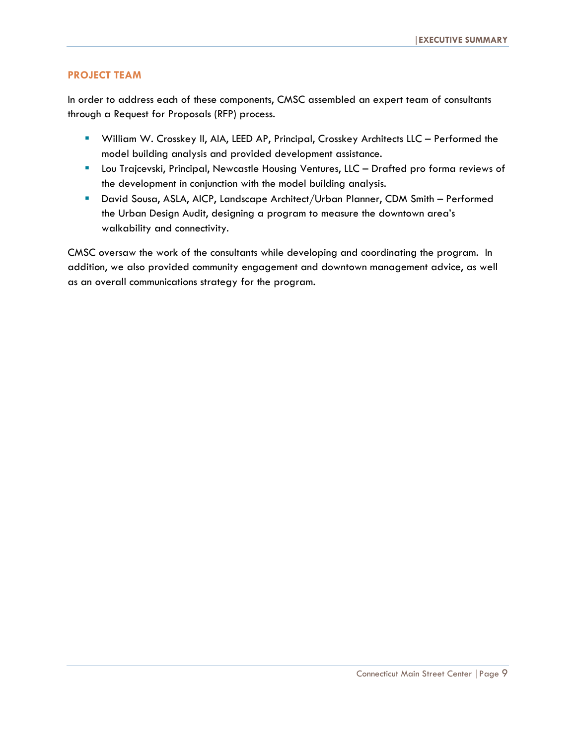#### **PROJECT TEAM**

In order to address each of these components, CMSC assembled an expert team of consultants through a Request for Proposals (RFP) process.

- William W. Crosskey II, AIA, LEED AP, Principal, Crosskey Architects LLC Performed the model building analysis and provided development assistance.
- **Lou Trajcevski, Principal, Newcastle Housing Ventures, LLC Drafted pro forma reviews of** the development in conjunction with the model building analysis.
- David Sousa, ASLA, AICP, Landscape Architect/Urban Planner, CDM Smith Performed the Urban Design Audit, designing a program to measure the downtown area's walkability and connectivity.

CMSC oversaw the work of the consultants while developing and coordinating the program. In addition, we also provided community engagement and downtown management advice, as well as an overall communications strategy for the program.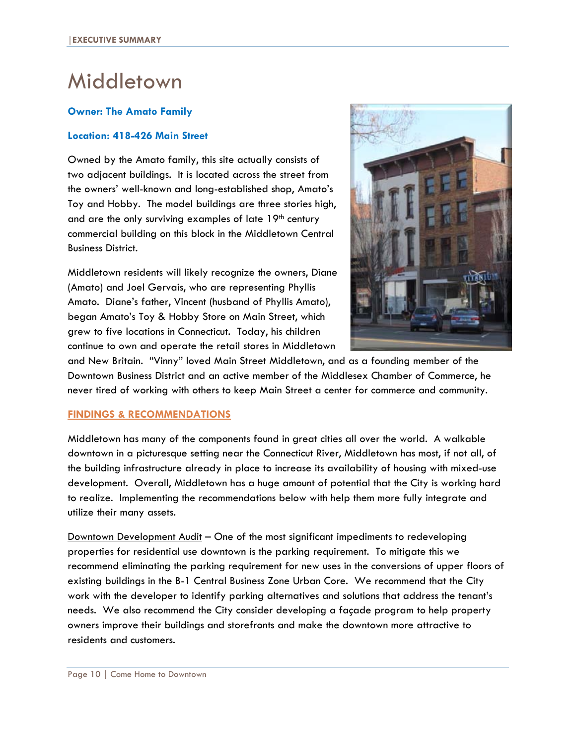## Middletown

#### **Owner: The Amato Family**

#### **Location: 418-426 Main Street**

Owned by the Amato family, this site actually consists of two adjacent buildings. It is located across the street from the owners' well-known and long-established shop, Amato's Toy and Hobby. The model buildings are three stories high, and are the only surviving examples of late  $19<sup>th</sup>$  century commercial building on this block in the Middletown Central Business District.

Middletown residents will likely recognize the owners, Diane (Amato) and Joel Gervais, who are representing Phyllis Amato. Diane's father, Vincent (husband of Phyllis Amato), began Amato's Toy & Hobby Store on Main Street, which grew to five locations in Connecticut. Today, his children continue to own and operate the retail stores in Middletown



and New Britain. "Vinny" loved Main Street Middletown, and as a founding member of the Downtown Business District and an active member of the Middlesex Chamber of Commerce, he never tired of working with others to keep Main Street a center for commerce and community.

#### **FINDINGS & RECOMMENDATIONS**

Middletown has many of the components found in great cities all over the world. A walkable downtown in a picturesque setting near the Connecticut River, Middletown has most, if not all, of the building infrastructure already in place to increase its availability of housing with mixed-use development. Overall, Middletown has a huge amount of potential that the City is working hard to realize. Implementing the recommendations below with help them more fully integrate and utilize their many assets.

Downtown Development Audit - One of the most significant impediments to redeveloping properties for residential use downtown is the parking requirement. To mitigate this we recommend eliminating the parking requirement for new uses in the conversions of upper floors of existing buildings in the B-1 Central Business Zone Urban Core. We recommend that the City work with the developer to identify parking alternatives and solutions that address the tenant's needs. We also recommend the City consider developing a façade program to help property owners improve their buildings and storefronts and make the downtown more attractive to residents and customers.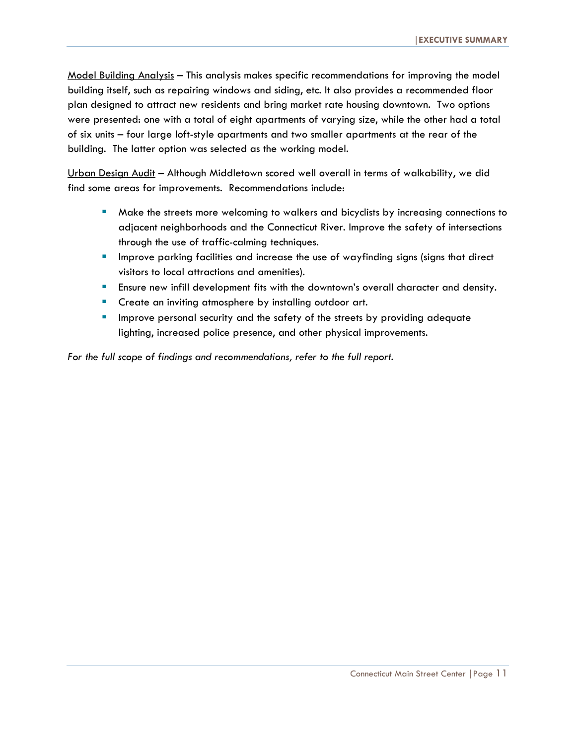Model Building Analysis – This analysis makes specific recommendations for improving the model building itself, such as repairing windows and siding, etc. It also provides a recommended floor plan designed to attract new residents and bring market rate housing downtown. Two options were presented: one with a total of eight apartments of varying size, while the other had a total of six units – four large loft-style apartments and two smaller apartments at the rear of the building. The latter option was selected as the working model.

Urban Design Audit – Although Middletown scored well overall in terms of walkability, we did find some areas for improvements. Recommendations include:

- **Make the streets more welcoming to walkers and bicyclists by increasing connections to** adjacent neighborhoods and the Connecticut River. Improve the safety of intersections through the use of traffic-calming techniques.
- **IMPROM** 11 Improve parking facilities and increase the use of wayfinding signs (signs that direct visitors to local attractions and amenities).
- Ensure new infill development fits with the downtown's overall character and density.
- **Create an inviting atmosphere by installing outdoor art.**
- **IMPROVE personal security and the safety of the streets by providing adequate** lighting, increased police presence, and other physical improvements.

For the full scope of findings and recommendations, refer to the full report.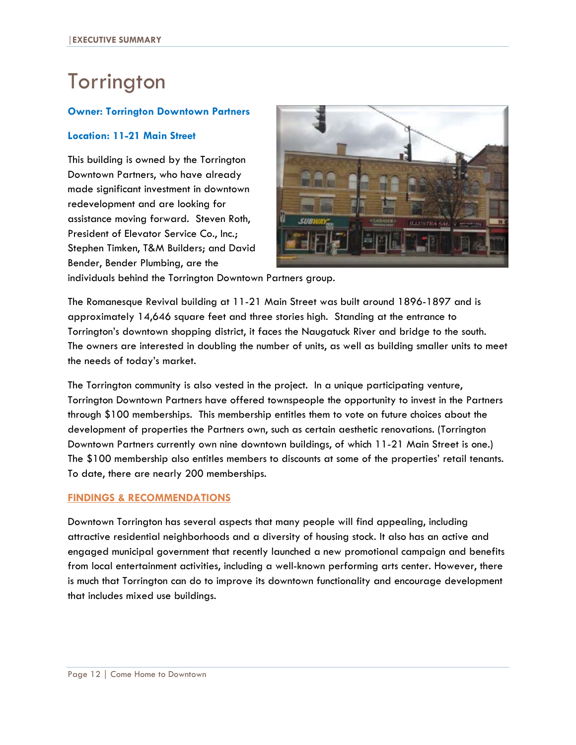# **Torrington**

#### **Owner: Torrington Downtown Partners**

#### **Location: 11-21 Main Street**

This building is owned by the Torrington Downtown Partners, who have already made significant investment in downtown redevelopment and are looking for assistance moving forward. Steven Roth, President of Elevator Service Co., Inc.; Stephen Timken, T&M Builders; and David Bender, Bender Plumbing, are the



individuals behind the Torrington Downtown Partners group.

The Romanesque Revival building at 11-21 Main Street was built around 1896-1897 and is approximately 14,646 square feet and three stories high. Standing at the entrance to Torrington's downtown shopping district, it faces the Naugatuck River and bridge to the south. The owners are interested in doubling the number of units, as well as building smaller units to meet the needs of today's market.

The Torrington community is also vested in the project. In a unique participating venture, Torrington Downtown Partners have offered townspeople the opportunity to invest in the Partners through \$100 memberships. This membership entitles them to vote on future choices about the development of properties the Partners own, such as certain aesthetic renovations. (Torrington Downtown Partners currently own nine downtown buildings, of which 11-21 Main Street is one.) The \$100 membership also entitles members to discounts at some of the properties' retail tenants. To date, there are nearly 200 memberships.

#### **FINDINGS & RECOMMENDATIONS**

Downtown Torrington has several aspects that many people will find appealing, including attractive residential neighborhoods and a diversity of housing stock. It also has an active and engaged municipal government that recently launched a new promotional campaign and benefits from local entertainment activities, including a well-known performing arts center. However, there is much that Torrington can do to improve its downtown functionality and encourage development that includes mixed use buildings.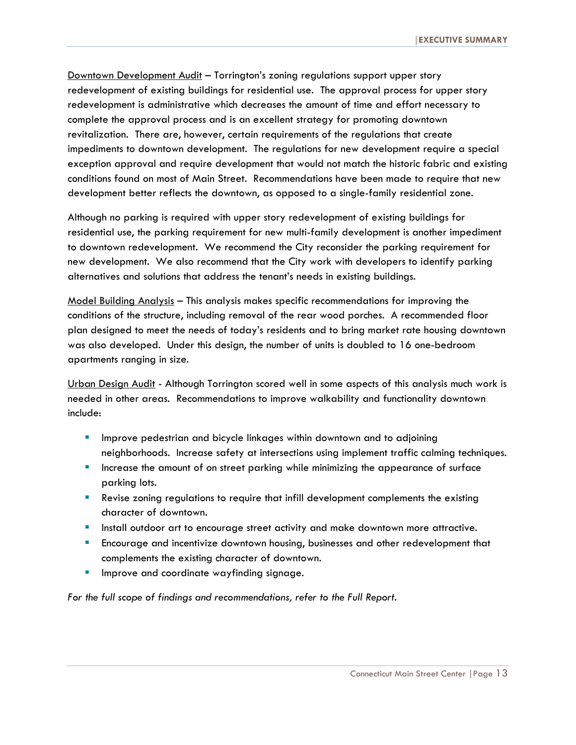Downtown Development Audit - Torrington's zoning regulations support upper story redevelopment of existing buildings for residential use. The approval process for upper story redevelopment is administrative which decreases the amount of time and effort necessary to complete the approval process and is an excellent strategy for promoting downtown revitalization. There are, however, certain requirements of the regulations that create impediments to downtown development. The regulations for new development require a special exception approval and require development that would not match the historic fabric and existing conditions found on most of Main Street. Recommendations have been made to require that new development better reflects the downtown, as opposed to a single-family residential zone.

Although no parking is required with upper story redevelopment of existing buildings for residential use, the parking requirement for new multi-family development is another impediment to downtown redevelopment. We recommend the City reconsider the parking requirement for new development. We also recommend that the City work with developers to identify parking alternatives and solutions that address the tenant's needs in existing buildings.

Model Building Analysis – This analysis makes specific recommendations for improving the conditions of the structure, including removal of the rear wood porches. A recommended floor plan designed to meet the needs of today's residents and to bring market rate housing downtown was also developed. Under this design, the number of units is doubled to 16 one-bedroom apartments ranging in size.

Urban Design Audit - Although Torrington scored well in some aspects of this analysis much work is needed in other areas. Recommendations to improve walkability and functionality downtown include:

- **IMPROVE PEDEST AND MET ADDETER IN ADDET** Incorport mand to adjoining neighborhoods. Increase safety at intersections using implement traffic calming techniques.
- **Increase the amount of on street parking while minimizing the appearance of surface** parking lots.
- Revise zoning regulations to require that infill development complements the existing character of downtown.
- **Install outdoor art to encourage street activity and make downtown more attractive.**
- Encourage and incentivize downtown housing, businesses and other redevelopment that complements the existing character of downtown.
- Improve and coordinate wayfinding signage.

*For the full scope of findings and recommendations, refer to the Full Report.*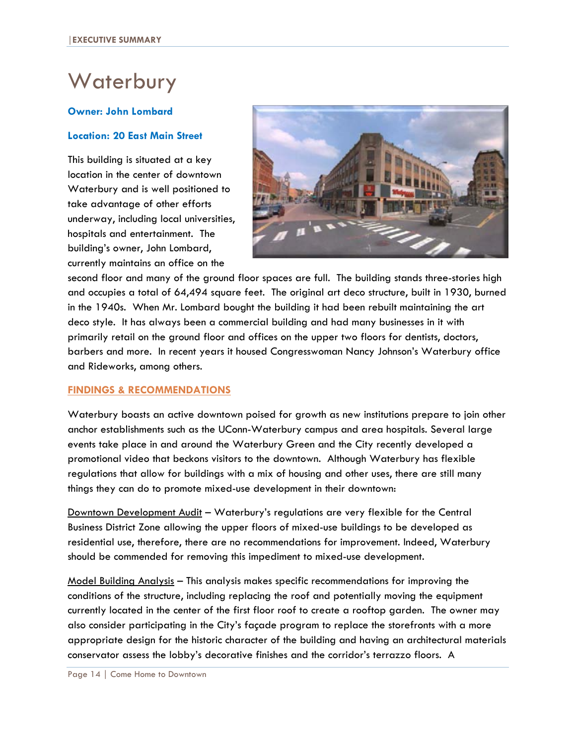# **Waterbury**

#### **Owner: John Lombard**

#### **Location: 20 East Main Street**

This building is situated at a key location in the center of downtown Waterbury and is well positioned to take advantage of other efforts underway, including local universities, hospitals and entertainment. The building's owner, John Lombard, currently maintains an office on the



second floor and many of the ground floor spaces are full. The building stands three-stories high and occupies a total of 64,494 square feet. The original art deco structure, built in 1930, burned in the 1940s. When Mr. Lombard bought the building it had been rebuilt maintaining the art deco style. It has always been a commercial building and had many businesses in it with primarily retail on the ground floor and offices on the upper two floors for dentists, doctors, barbers and more. In recent years it housed Congresswoman Nancy Johnson's Waterbury office and Rideworks, among others.

#### **FINDINGS & RECOMMENDATIONS**

Waterbury boasts an active downtown poised for growth as new institutions prepare to join other anchor establishments such as the UConn-Waterbury campus and area hospitals. Several large events take place in and around the Waterbury Green and the City recently developed a promotional video that beckons visitors to the downtown. Although Waterbury has flexible regulations that allow for buildings with a mix of housing and other uses, there are still many things they can do to promote mixed-use development in their downtown:

Downtown Development Audit – Waterbury's regulations are very flexible for the Central Business District Zone allowing the upper floors of mixed-use buildings to be developed as residential use, therefore, there are no recommendations for improvement. Indeed, Waterbury should be commended for removing this impediment to mixed-use development.

Model Building Analysis – This analysis makes specific recommendations for improving the conditions of the structure, including replacing the roof and potentially moving the equipment currently located in the center of the first floor roof to create a rooftop garden. The owner may also consider participating in the City's façade program to replace the storefronts with a more appropriate design for the historic character of the building and having an architectural materials conservator assess the lobby's decorative finishes and the corridor's terrazzo floors. A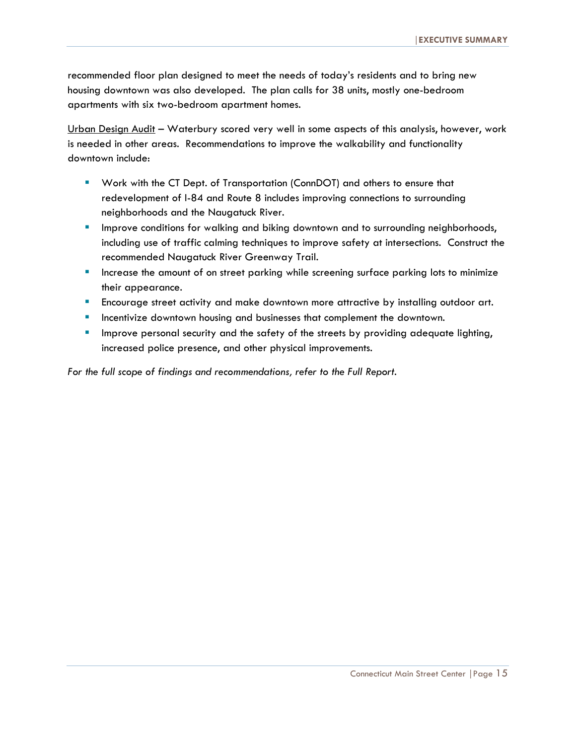recommended floor plan designed to meet the needs of today's residents and to bring new housing downtown was also developed. The plan calls for 38 units, mostly one-bedroom apartments with six two-bedroom apartment homes.

Urban Design Audit - Waterbury scored very well in some aspects of this analysis, however, work is needed in other areas. Recommendations to improve the walkability and functionality downtown include:

- Work with the CT Dept. of Transportation (ConnDOT) and others to ensure that redevelopment of I-84 and Route 8 includes improving connections to surrounding neighborhoods and the Naugatuck River.
- **IMPROVE CONDUGES 1** Improve conditions for walking and biking downtown and to surrounding neighborhoods, including use of traffic calming techniques to improve safety at intersections. Construct the recommended Naugatuck River Greenway Trail.
- **Increase the amount of on street parking while screening surface parking lots to minimize** their appearance.
- **Encourage street activity and make downtown more attractive by installing outdoor art.**
- **Incentivize downtown housing and businesses that complement the downtown.**
- Improve personal security and the safety of the streets by providing adequate lighting, increased police presence, and other physical improvements.

*For the full scope of findings and recommendations, refer to the Full Report.*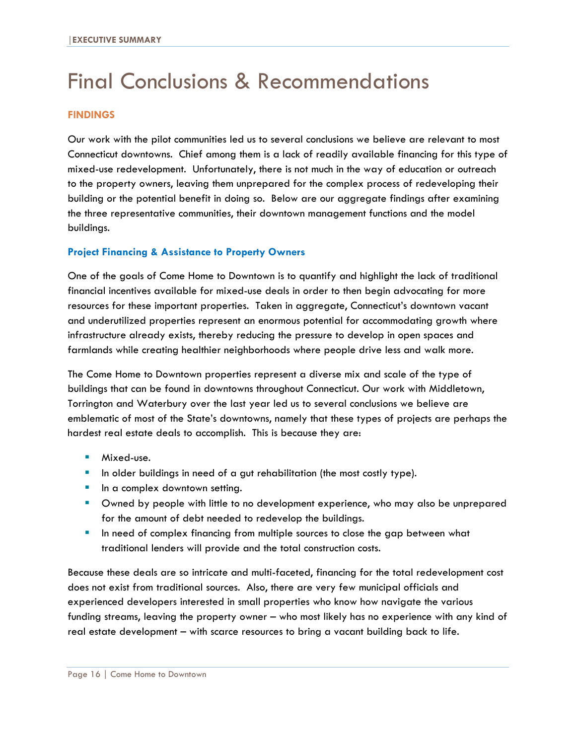# Final Conclusions & Recommendations

#### **FINDINGS**

Our work with the pilot communities led us to several conclusions we believe are relevant to most Connecticut downtowns. Chief among them is a lack of readily available financing for this type of mixed-use redevelopment. Unfortunately, there is not much in the way of education or outreach to the property owners, leaving them unprepared for the complex process of redeveloping their building or the potential benefit in doing so. Below are our aggregate findings after examining the three representative communities, their downtown management functions and the model buildings.

#### **Project Financing & Assistance to Property Owners**

One of the goals of Come Home to Downtown is to quantify and highlight the lack of traditional financial incentives available for mixed-use deals in order to then begin advocating for more resources for these important properties. Taken in aggregate, Connecticut's downtown vacant and underutilized properties represent an enormous potential for accommodating growth where infrastructure already exists, thereby reducing the pressure to develop in open spaces and farmlands while creating healthier neighborhoods where people drive less and walk more.

The Come Home to Downtown properties represent a diverse mix and scale of the type of buildings that can be found in downtowns throughout Connecticut. Our work with Middletown, Torrington and Waterbury over the last year led us to several conclusions we believe are emblematic of most of the State's downtowns, namely that these types of projects are perhaps the hardest real estate deals to accomplish. This is because they are:

- **Mixed-use.**
- In older buildings in need of a gut rehabilitation (the most costly type).
- **If**  $\blacksquare$  In a complex downtown setting.
- Owned by people with little to no development experience, who may also be unprepared for the amount of debt needed to redevelop the buildings.
- In need of complex financing from multiple sources to close the gap between what traditional lenders will provide and the total construction costs.

Because these deals are so intricate and multi-faceted, financing for the total redevelopment cost does not exist from traditional sources. Also, there are very few municipal officials and experienced developers interested in small properties who know how navigate the various funding streams, leaving the property owner – who most likely has no experience with any kind of real estate development – with scarce resources to bring a vacant building back to life.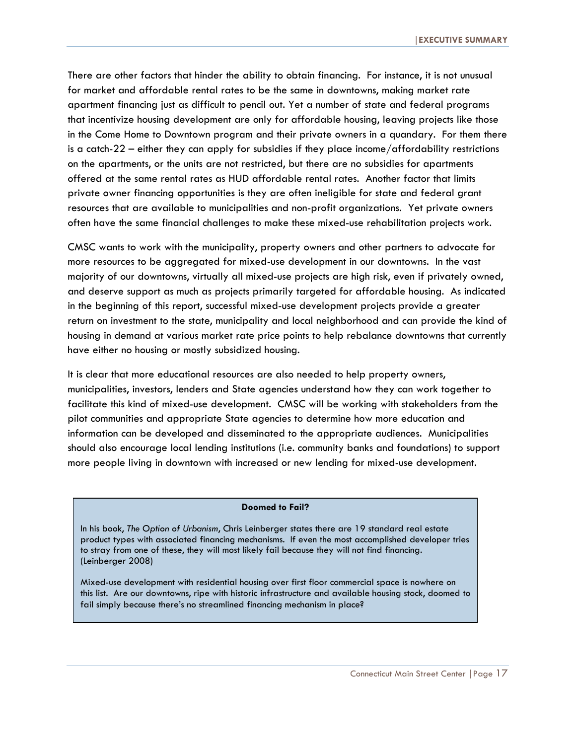There are other factors that hinder the ability to obtain financing. For instance, it is not unusual for market and affordable rental rates to be the same in downtowns, making market rate apartment financing just as difficult to pencil out. Yet a number of state and federal programs that incentivize housing development are only for affordable housing, leaving projects like those in the Come Home to Downtown program and their private owners in a quandary. For them there is a catch-22 – either they can apply for subsidies if they place income/affordability restrictions on the apartments, or the units are not restricted, but there are no subsidies for apartments offered at the same rental rates as HUD affordable rental rates. Another factor that limits private owner financing opportunities is they are often ineligible for state and federal grant resources that are available to municipalities and non-profit organizations. Yet private owners often have the same financial challenges to make these mixed-use rehabilitation projects work.

CMSC wants to work with the municipality, property owners and other partners to advocate for more resources to be aggregated for mixed-use development in our downtowns. In the vast majority of our downtowns, virtually all mixed-use projects are high risk, even if privately owned, and deserve support as much as projects primarily targeted for affordable housing. As indicated in the beginning of this report, successful mixed-use development projects provide a greater return on investment to the state, municipality and local neighborhood and can provide the kind of housing in demand at various market rate price points to help rebalance downtowns that currently have either no housing or mostly subsidized housing.

It is clear that more educational resources are also needed to help property owners, municipalities, investors, lenders and State agencies understand how they can work together to facilitate this kind of mixed-use development. CMSC will be working with stakeholders from the pilot communities and appropriate State agencies to determine how more education and information can be developed and disseminated to the appropriate audiences. Municipalities should also encourage local lending institutions (i.e. community banks and foundations) to support more people living in downtown with increased or new lending for mixed-use development.

#### **Doomed to Fail?**

In his book, *The Option of Urbanism*, Chris Leinberger states there are 19 standard real estate product types with associated financing mechanisms. If even the most accomplished developer tries to stray from one of these, they will most likely fail because they will not find financing. (Leinberger 2008)

Mixed-use development with residential housing over first floor commercial space is nowhere on this list. Are our downtowns, ripe with historic infrastructure and available housing stock, doomed to fail simply because there's no streamlined financing mechanism in place?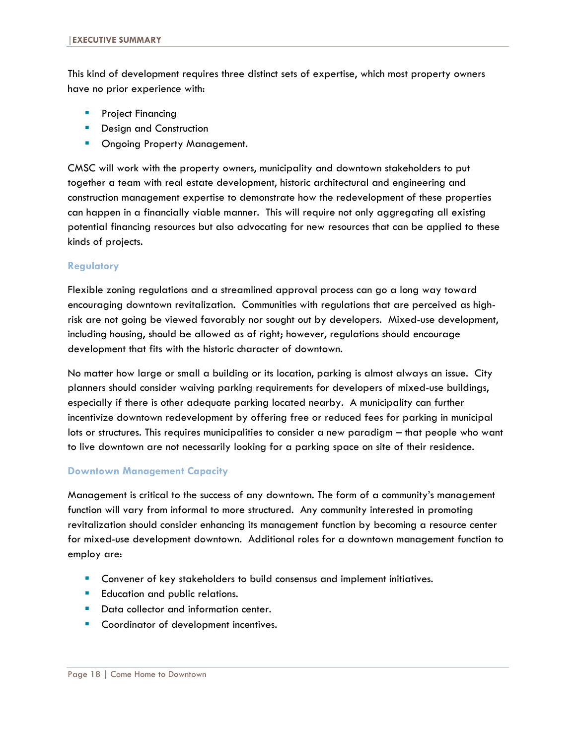This kind of development requires three distinct sets of expertise, which most property owners have no prior experience with:

- **Project Financing**
- **Design and Construction**
- **Ongoing Property Management.**

CMSC will work with the property owners, municipality and downtown stakeholders to put together a team with real estate development, historic architectural and engineering and construction management expertise to demonstrate how the redevelopment of these properties can happen in a financially viable manner. This will require not only aggregating all existing potential financing resources but also advocating for new resources that can be applied to these kinds of projects.

#### **Regulatory**

Flexible zoning regulations and a streamlined approval process can go a long way toward encouraging downtown revitalization. Communities with regulations that are perceived as highrisk are not going be viewed favorably nor sought out by developers. Mixed-use development, including housing, should be allowed as of right; however, regulations should encourage development that fits with the historic character of downtown*.* 

No matter how large or small a building or its location, parking is almost always an issue. City planners should consider waiving parking requirements for developers of mixed-use buildings, especially if there is other adequate parking located nearby. A municipality can further incentivize downtown redevelopment by offering free or reduced fees for parking in municipal lots or structures. This requires municipalities to consider a new paradigm – that people who want to live downtown are not necessarily looking for a parking space on site of their residence.

#### **Downtown Management Capacity**

Management is critical to the success of any downtown. The form of a community's management function will vary from informal to more structured. Any community interested in promoting revitalization should consider enhancing its management function by becoming a resource center for mixed-use development downtown. Additional roles for a downtown management function to employ are:

- **Convener of key stakeholders to build consensus and implement initiatives.**
- **Education and public relations.**
- Data collector and information center.
- **Coordinator of development incentives.**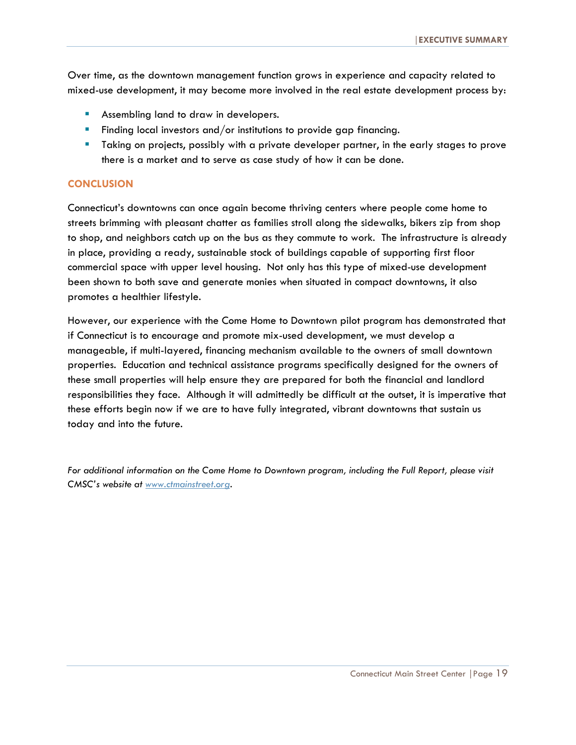Over time, as the downtown management function grows in experience and capacity related to mixed-use development, it may become more involved in the real estate development process by:

- **Assembling land to draw in developers.**
- Finding local investors and/or institutions to provide gap financing.
- Taking on projects, possibly with a private developer partner, in the early stages to prove there is a market and to serve as case study of how it can be done.

#### **CONCLUSION**

Connecticut's downtowns can once again become thriving centers where people come home to streets brimming with pleasant chatter as families stroll along the sidewalks, bikers zip from shop to shop, and neighbors catch up on the bus as they commute to work. The infrastructure is already in place, providing a ready, sustainable stock of buildings capable of supporting first floor commercial space with upper level housing. Not only has this type of mixed-use development been shown to both save and generate monies when situated in compact downtowns, it also promotes a healthier lifestyle.

However, our experience with the Come Home to Downtown pilot program has demonstrated that if Connecticut is to encourage and promote mix-used development, we must develop a manageable, if multi-layered, financing mechanism available to the owners of small downtown properties. Education and technical assistance programs specifically designed for the owners of these small properties will help ensure they are prepared for both the financial and landlord responsibilities they face. Although it will admittedly be difficult at the outset, it is imperative that these efforts begin now if we are to have fully integrated, vibrant downtowns that sustain us today and into the future.

*For additional information on the Come Home to Downtown program, including the Full Report, please visit CMSC's website at [www.ctmainstreet.org.](http://www.ctmainstreet.org/)*